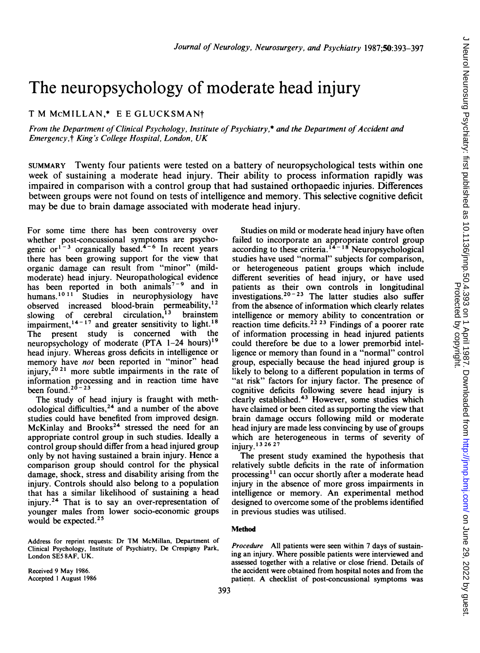# The neuropsychology of moderate head injury

## T M McMILLAN,\* E <sup>E</sup> GLUCKSMANt

From the Department of Clinical Psychology, Institute of Psychiatry,\* and the Department of Accident and Emergency,t King's College Hospital, London, UK

SUMMARY Twenty four patients were tested on a battery of neuropsychological tests within one week of sustaining a moderate head injury. Their ability to process information rapidly was impaired in comparison with a control group that had sustained orthopaedic injuries. Differences between groups were not found on tests of intelligence and memory. This selective cognitive deficit may be due to brain damage associated with moderate head injury.

For some time there has been controversy over whether post-concussional symptoms are psychogenic or<sup>1-3</sup> organically based.<sup>4-6</sup> In recent years there has been growing support for the view that organic damage can result from "minor" (mildmoderate) head injury. Neuropathological evidence has been reported in both animals<sup>7-9</sup> and in humans.<sup>1011</sup> Studies in neurophysiology have observed increased blood-brain permeability,<sup>12</sup><br>slowing of cerebral circulation,<sup>13</sup> brainstem slowing of cerebral circulation,  $13$ impairment,  $14^{n-17}$  and greater sensitivity to light.<sup>18</sup><br>The present study is concerned with the The present study is concerned with neuropsychology of moderate  $(PTA \ 1-24 \ hours)^{19}$ head injury. Whereas gross deficits in intelligence or memory have not been reported in "minor" head injury,  $^{2021}$  more subtle impairments in the rate of information processing and in reaction time have been found.<sup>20-23</sup>

The study of head injury is fraught with methodological difficulties,24 and a number of the above studies could have benefited from improved design. McKinlay and Brooks<sup>24</sup> stressed the need for an appropriate control group in such studies. Ideally a control group should differ from a head injured group only by not having sustained a brain injury. Hence a comparison group should control for the physical damage, shock, stress and disability arising from the injury. Controls should also belong to a population that has a similar likelihood of sustaining a head injury.24 That is to say an over-representation of younger males from lower socio-economic groups would be expected.25

Address for reprint requests: Dr TM McMillan, Department of Clinical Psychology, Institute of Psychiatry, De Crespigny Park, London SE5 8AF, UK.

Received 9 May 1986. Accepted <sup>1</sup> August 1986

Studies on mild or moderate head injury have often failed to incorporate an appropriate control group according to these criteria.<sup>14-16</sup> Neuropsychological studies have used "normal" subjects for comparison, or heterogeneous patient groups which include different severities of head injury, or have used patients as their own controls in longitudinal investigations.  $20 - 23$  The latter studies also suffer from the absence of information which clearly relates intelligence or memory ability to concentration or reaction time deficits.<sup>22 23</sup> Findings of a poorer rate of information processing in head injured patients could therefore be due to a lower premorbid intelligence or memory than found in a "normal" control group, especially because the head injured group is likely to belong to a different population in terms of "at risk" factors for injury factor. The presence of cognitive deficits following severe head injury is clearly established.<sup>43</sup> However, some studies which have claimed or been cited as supporting the view that brain damage occurs following mild or moderate head injury are made less convincing by use of groups which are heterogeneous in terms of severity of injury.132627

The present study examined the hypothesis that relatively subtle deficits in the rate of information processing<sup>11</sup> can occur shortly after a moderate head injury in the absence of more gross impairments in intelligence or memory. An experimental method designed to overcome some of the problems identified in previous studies was utilised.

#### Method

Procedure All patients were seen within 7 days of sustaining an injury. Where possible patients were interviewed and assessed together with a relative or close friend. Details of the accident were obtained from hospital notes and from the patient. A checklist of post-concussional symptoms was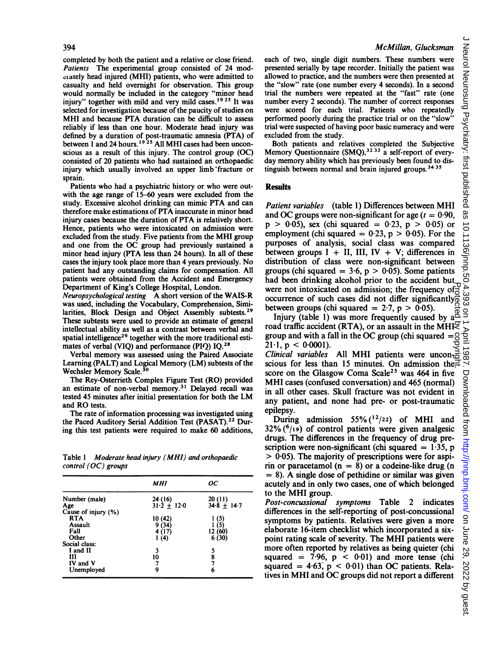#### 394

completed by both the patient and a relative or close friend. Patients The experimental group consisted of 24 modciately head injured (MHI) patients, who were admitted to casualty and held overnight for observation. This group would normally be included in the category "minor head injury" together with mild and very mild cases.<sup>1925</sup> It was selected for investigation because of the paucity of studies on MHI and because PTA duration can be difficult to assess reliably if less than one hour. Moderate head injury was defined by a duration of post-traumatic amnesia (PTA) of between <sup>I</sup> and <sup>24</sup> hours.19 <sup>25</sup> All MHI cases had been unconscious as a result of this injury. The control group (OC) consisted of 20 patients who had sustained an orthopaedic injury which usually involved an upper limb'fracture or sprain.

Patients who had a psychiatric history or who were outwith the age range of 15-60 years were excluded from the study. Excessive alcohol drinking can mimic PTA and can therefore make estimations of PTA inaccurate in minor head injury cases because the duration of PTA is relatively short. Hence, patients who were intoxicated on admission were excluded from the study. Five patients from the MHI group and one from the OC group had previously sustained <sup>a</sup> minor head injury (PTA less than 24 hours). In all of these cases the injury took place more than 4 years previously. No patient had any outstanding claims for compensation. All patients were obtained from the Accident and Emergency Department of King's College Hospital, London.

Neuropsychological testing A short version of the WAIS-R was used, including the Vocabulary, Comprehension, Similarities, Block Design and Object Assembly subtests.<sup>29</sup> These subtests were used to provide an estimate of general intellectual ability as well as a contrast between verbal and spatial intelligence<sup>29</sup> together with the more traditional estimates of verbal (VIQ) and performance (PIQ) IQ.<sup>28</sup>

Verbal memory was assessed using the Paired Associate Learning (PALT) and Logical Memory (LM) subtests of the Wechsler Memory Scale.<sup>30</sup>

The Rey-Osterrieth Complex Figure Test (RO) provided an estimate of non-verbal memory.31 Delayed recall was tested <sup>45</sup> minutes after initial presentation for both the LM and RO tests.

The rate of information processing was investigated using the Paced Auditory Serial Addition Test (PASAT).<sup>22</sup> During this test patients were required to make 60 additions,

Table <sup>I</sup> Moderate head injury (MHI) and orthopaedic control (OC) groups

|                     | MHI           | OС              |  |
|---------------------|---------------|-----------------|--|
| Number (male)       | 24 (16)       | 20 (11)         |  |
| Age                 | $31.2 + 12.0$ | $34.8 \pm 14.7$ |  |
| Cause of injury (%) |               |                 |  |
| <b>RTA</b>          | 10 (42)       | 1 (5)           |  |
| <b>Assault</b>      | 9(34)         | (5)             |  |
| Fall                | 4(17)         | 12 (60)         |  |
| Other               | 1(4)          | 6(30)           |  |
| Social class:       |               |                 |  |
| I and II            | 3             |                 |  |
| ш                   | 10            | 5<br>8<br>7     |  |
| IV and V            | 7             |                 |  |
| Unemployed          | 9             | 6               |  |

#### McMillan, Glucksman

each of two, single digit numbers. These numbers were presented serially by tape recorder. Initially the patient was allowed to practice, and the numbers were then presented at the "slow" rate (one number every 4 seconds). In a second trial the numbers were repeated at the "fast" rate (one number every 2 seconds). The number of correct responses were scored for each trial. Patients who repeatedly performed poorly during the practice trial or on the "slow" trial were suspected of having poor basic numeracy and were excluded from the study.

Both patients and relatives completed the Subjective Memory Questionnaire (SMO),<sup>32 33</sup> a self-report of everyday memory ability which has previously been found to distinguish between normal and brain injured groups.3435

#### Results

Patient variables (table 1) Differences between MHI and OC groups were non-significant for age  $(t = 0.90$ ,  $p > 0.05$ , sex (chi squared = 0.23,  $p > 0.05$ ) or employment (chi squared =  $0.23$ , p >  $0.05$ ). For the purposes of analysis, social class was compared between groups  $I + II$ , III, IV + V; differences in distribution of class were non-significant between groups (chi squared =  $3.6$ , p > 0.05). Some patients had been drinking alcohol prior to the accident but were not intoxicated on admission; the frequency of  $\frac{1}{6}$ occurrence of such cases did not differ significantly between groups (chi squared =  $2.7$ , p > 0.05).

Injury (table 1) was more frequently caused by  $a^{\frac{3}{2}}$ road traffic accident (RTA), or an assault in the MHI $\gtrsim$ group and with a fall in the OC group (chi squared  $=$   $\frac{8}{2}$ )  $21-1$ , p < 0.0001). Clinical variables All MHI patients were unconscious for less than <sup>15</sup> minutes. On admission the score on the Glasgow Coma Scale<sup>25</sup> was 464 in five MHI cases (confused conversation) and <sup>465</sup> (normal) in all other cases. Skull fracture was not evident in any patient, and none had pre- or post-traumatic were not intoxicated on admission; the frequency of occurrence of such at differ significantly be lineared = 2.7, p > 0.05). For linear and with a fall in the OC group (chi squared  $\frac{1}{2}$ , p in the MHI and out differ s

epilepsy. During admission 55%  $(1^2/2^2)$  of MHI and  $32\%$  ( $^{6}/_{19}$ ) of control patients were given analgesic drugs. The differences in the frequency of drug prescription were non-significant (chi squared  $= 1.35$ , p  $> 0.05$ ). The majority of prescriptions were for aspirin or paracetamol  $(n = 8)$  or a codeine-like drug (n  $= 8$ ). A single dose of pethidine or similar was given acutely and in only two cases, one of which belonged to the MHI group.

Post-concussional symptoms Table 2 indicates differences in the self-reporting of post-concussional symptoms by patients. Relatives were given a more elaborate 16-item checklist which incorporated a sixpoint rating scale of severity. The MHI patients were more often reported by relatives as being quieter (chi squared =  $7.96$ ,  $p < 0.01$ ) and more tense (chi squared  $= 4.63$ ,  $p < 0.01$ ) than OC patients. Relatives in MHI and OC groups did not report a different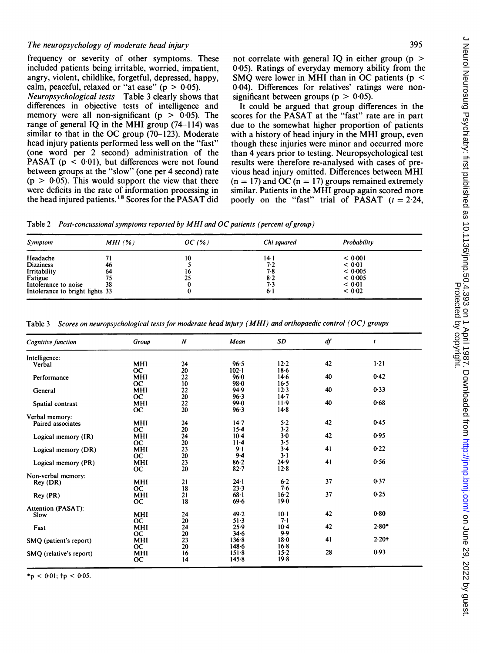### The neuropsychology of moderate head injury

J Neurol Neurosurg Psychiatry: first published as 10.11136/jnnp.50.4.393 on 1 April 1987. Downloaded from http://jnnp.bmj.com/ on June 29, 2022 by guest.<br>Protected by the protected as 10.11136/jnnp.50.4.393 on 1 April 1. J Neurol Neurosurg Psychiatry: first published as 10.1136/jnnp.50.4.393 on 1 April 1987. Downloaded from <http://jnnp.bmj.com/> June 29, 2022 by guest. Protected by copyright.

frequency or severity of other symptoms. These included patients being irritable, worried, impatient, angry, violent, childlike, forgetful, depressed, happy, calm, peaceful, relaxed or "at ease" ( $p > 0.05$ ).

Neuropsychological tests Table <sup>3</sup> clearly shows that differences in objective tests of intelligence and memory were all non-significant ( $p > 0.05$ ). The range of general IQ in the MHI group (74-114) was similar to that in the OC group  $(70-123)$ . Moderate head injury patients performed less well on the "fast" (one word per <sup>2</sup> second) administration of the PASAT ( $p < 0.01$ ), but differences were not found between groups at the "slow" (one per 4 second) rate  $(p > 0.05)$ . This would support the view that there were deficits in the rate of information processing in the head injured patients.<sup>18</sup> Scores for the PASAT did not correlate with general IO in either group ( $p >$ 0-05). Ratings of everyday memory ability from the SMO were lower in MHI than in OC patients ( $p \le$ 0-04). Differences for relatives' ratings were nonsignificant between groups ( $p > 0.05$ ).

It could be argued that group differences in the scores for the PASAT at the "fast" rate are in part due to the somewhat higher proportion of patients with <sup>a</sup> history of head injury in the MHI group, even though these injuries were minor and occurred more than 4 years prior to testing. Neuropsychological test results were therefore re-analysed with cases of previous head injury omitted. Differences between MHI  $(n = 17)$  and OC  $(n = 17)$  groups remained extremely similar. Patients in the MHI group again scored more poorly on the "fast" trial of PASAT  $(t = 2.24$ ,

Table 2 Post-concussional symptoms reported by MHI and OC patients (percent of group)

| Symptom                         | MHI(%) | OC(%) | Chi squared | Probability |  |
|---------------------------------|--------|-------|-------------|-------------|--|
| Headache                        |        | 10    | 14·1        | < 0.001     |  |
| <b>Dizziness</b>                | 46     |       | 7.2         | < 0.01      |  |
| Irritability                    | 64     | 16    | 7.8         | < 0.005     |  |
| Fatigue                         |        | 25    | $8-2$       | < 0.005     |  |
| Intolerance to noise            | 38     |       | 73          | < 0.01      |  |
| Intolerance to bright lights 33 |        |       | 6·1         | < 0.02      |  |

| Cognitive function      | Group       | $\boldsymbol{N}$ | Mean      | SD       | df | t        |
|-------------------------|-------------|------------------|-----------|----------|----|----------|
| Intelligence:           |             |                  |           |          |    |          |
| Verbal                  | MHI         | 24               | 96.5      | $12 - 2$ | 42 | $1 - 21$ |
|                         | <b>OC</b>   | 20               | $102 - 1$ | 18.6     |    |          |
| Performance             | MHI         | 22               | 96.0      | $14-6$   | 40 | 0.42     |
|                         | <b>OC</b>   | 10               | $98 - 0$  | 16.5     |    |          |
| General                 | MHI         | 22               | 94.9      | 12.3     | 40 | 0.33     |
|                         | OC.         | 20               | 96.3      | $14 - 7$ |    |          |
| Spatial contrast        | MHI         | 22               | 99.0      | $11-9$   | 40 | 0.68     |
|                         | <b>OC</b>   | 20               | 96.3      | $14-8$   |    |          |
| Verbal memory:          |             |                  |           |          |    |          |
| Paired associates       | <b>MHI</b>  | 24               | $14 - 7$  | 5.2      | 42 | 0.45     |
|                         | <b>OC</b>   | 20               | $15-4$    | 3.2      |    |          |
|                         |             |                  | $10-4$    | $3-0$    | 42 | 0.95     |
| Logical memory (IR)     | <b>MHI</b>  | 24               |           | 3.5      |    |          |
|                         | <b>OC</b>   | 20               | $11 - 4$  | $3-4$    |    | 0.22     |
| Logical memory (DR)     | MHI         | 23               | $9 - 1$   |          | 41 |          |
|                         | <b>OC</b>   | 20               | $9-4$     | $3-1$    |    |          |
| Logical memory (PR)     | MHI         | 23               | $86 - 2$  | 24.9     | 41 | 0.56     |
|                         | <b>OC</b>   | 20               | 82.7      | 12.8     |    |          |
| Non-verbal memory:      |             |                  |           |          |    |          |
| Rey (DR)                | MHI         | 21               | 24.1      | $6-2$    | 37 | 0.37     |
|                         | <b>OC</b>   | 18               | 23.3      | 7.6      |    |          |
| Rey (PR)                | MHI         | 21               | $68 - 1$  | $16-2$   | 37 | 0.25     |
|                         | $_{\rm oc}$ | 18               | 69.6      | $19-0$   |    |          |
| Attention (PASAT):      |             |                  |           |          |    |          |
| Slow                    | MHI         | 24               | 49.2      | $10-1$   | 42 | 0.80     |
|                         | <b>OC</b>   | 20               | $51-3$    | $7-1$    |    |          |
| Fast                    | MHI         | 24               | 25.9      | $10-4$   | 42 | $2.80*$  |
|                         | <b>OC</b>   | 20               | 34.6      | 9.9      |    |          |
| SMQ (patient's report)  | MHI         | 23               | 136.8     | $18-0$   | 41 | $2.20 +$ |
|                         | <b>OC</b>   | 20               | $148 - 6$ | $16-8$   |    |          |
| SMO (relative's report) | MHI         | 16               | $151-8$   | $15 - 2$ | 28 | 0.93     |
|                         | <b>OC</b>   | 14               | 145.8     | $19-8$   |    |          |
|                         |             |                  |           |          |    |          |

Table <sup>3</sup> Scores on neuropsychological tests for moderate head injury (MHI) and orthopaedic control (OC) groups

 $< 0.01$ ; tp  $< 0.05$ .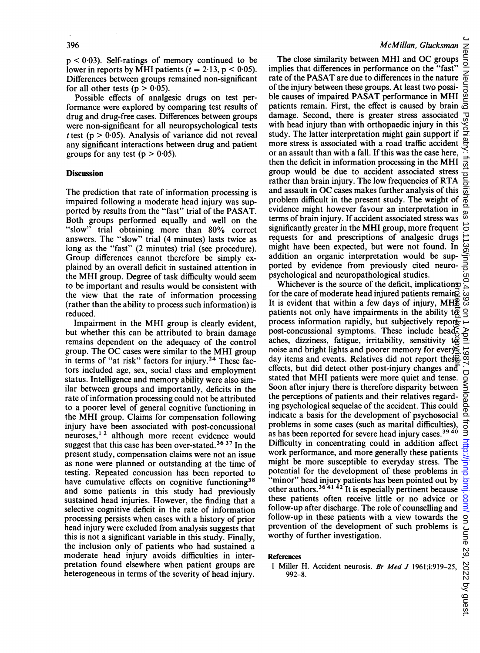$p < 0.03$ ). Self-ratings of memory continued to be lower in reports by MHI patients ( $t = 2.13$ ,  $p < 0.05$ ). Differences between groups remained non-significant for all other tests ( $p > 0.05$ ).

Possible effects of analgesic drugs on test performance were explored by comparing test results of drug and drug-free cases. Differences between groups were non-significant for all neuropsychological tests t test ( $p > 0.05$ ). Analysis of variance did not reveal any significant interactions between drug and patient groups for any test ( $p > 0.05$ ).

#### **Discussion**

The prediction that rate of information processing is impaired following a moderate head injury was supported by results from the "fast" trial of the PASAT. Both groups performed equally and well on the "slow" trial obtaining more than 80% correct answers. The "slow" trial (4 minutes) lasts twice as long as the "fast" (2 minutes) trial (see procedure). Group differences cannot therefore be simply explained by an overall deficit in sustained attention in the MHI group. Degree of task difficulty would seem to be important and results would be consistent with the view that the rate of information processing (rather than the ability to process such information) is reduced.

Impairment in the MHI group is clearly evident, but whether this can be attributed to brain damage remains dependent on the adequacy of the control group. The OC cases were similar to the MHI group in terms of "at risk" factors for injury.<sup>24</sup> These factors included age, sex, social class and employment status. Intelligence and memory ability were also similar between groups and importantly, deficits in the rate of information processing could not be attributed to a poorer level of general cognitive functioning in the MHI group. Claims for compensation following injury have been associated with post-concussional neuroses,<sup>12</sup> although more recent evidence would suggest that this case has been over-stated.<sup>36 37</sup> In the present study, compensation claims were not an issue as none were planned or outstanding at the time of testing. Repeated concussion has been reported to have cumulative effects on cognitive functioning<sup>38</sup> and some patients in this study had previously sustained head injuries. However, the finding that a selective cognitive deficit in the rate of information processing persists when cases with a history of prior head injury were excluded from analysis suggests that this is not a significant variable in this study. Finally, the inclusion only of patients who had sustained a moderate head injury avoids difficulties in interpretation found elsewhere when patient groups are heterogeneous in terms of the severity of head injury.

## McMillan, Glucksman

The close similarity between MHI and OC groups<br>implies that differences in performance on the "fast" implies that differences in performance on the "fast" rate of the PASAT are due to differences in the nature of the injury between these groups. At least twp possible causes of impaired PASAT performance in MHI patients remain. First, the effect is caused by brain damage. Second, there is greater stress associated with head injury than with orthopaedic injury in this study. The latter interpretation might gain support if more stress is associated with a road traffic accident or an assault than with <sup>a</sup> fall. If this was the case here, then the deficit in information processing in the MHI group would be due to accident associated stress rather than brain injury. The low frequencies of RTA and assault in OC cases makes further analysis of this problem difficult in the present study. The weight of evidence might however favour an interpretation in terms of brain injury. If accident associated stress was significantly greater in the MHI group, more frequent requests for and prescriptions of analgesic drugs might have been expected, but were not found. In addition an organic interpretation would be supported by evidence from previously cited neuropsychological and neuropathological studies.

Whichever is the source of the deficit, implications for the care of moderate head injured patients remained It is evident that within a few days of injury, MHR patients not only have impairments in the ability  $t\overline{Q}$ process information rapidly, but subjectively reportpost-concussional symptoms. These include headaches, dizziness, fatigue, irritability, sensitivity  $t\ddot{\otimes}$ noise and bright lights and poorer memory for every day items and events. Relatives did not report these effects, but did detect other post-injury changes and stated that MHI patients were more quiet and tense. Soon after injury there is therefore disparity between the perceptions of patients and their relatives regarding psychological sequelae of the accident. This could indicate a basis for the development of psychosocial  $\overline{a}$ problems in some cases (such as marital difficulties), as has been reported for severe head injury cases.<sup>3940</sup> Difficulty in concentrating could in addition affect work performance, and more generally these patients might be more susceptible to everyday stress. The potential for the development of these problems in "minor" head injury patients has been pointed out by other authors.<sup>30 41</sup><sup>42</sup> It is especially pertinent because these patients often receive little or no advice or follow-up after discharge. The role of counselling and follow-up in these patients with a view towards the follow-up in these patients with a view towards the 9<br>prevention of the development of such problems is  $\frac{C}{\pi}$ <br>worthy of further investigation.<br>**References**  $\frac{1}{2}$ <br>**Niller H. Accident neurosis.** *Br Med J* 1961;i:9 worthy of further investigation. Protected by copyright.

#### References

<sup>1</sup> Miller H. Accident neurosis. Br Med J 1961;i:919-25, 992-8.